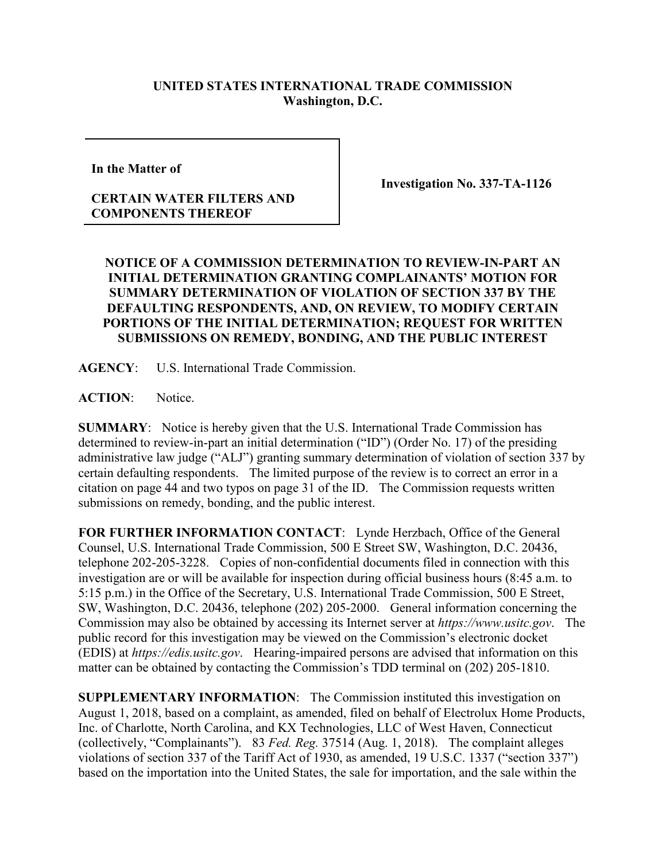## **UNITED STATES INTERNATIONAL TRADE COMMISSION Washington, D.C.**

**In the Matter of**

## **CERTAIN WATER FILTERS AND COMPONENTS THEREOF**

**Investigation No. 337-TA-1126**

## **NOTICE OF A COMMISSION DETERMINATION TO REVIEW-IN-PART AN INITIAL DETERMINATION GRANTING COMPLAINANTS' MOTION FOR SUMMARY DETERMINATION OF VIOLATION OF SECTION 337 BY THE DEFAULTING RESPONDENTS, AND, ON REVIEW, TO MODIFY CERTAIN PORTIONS OF THE INITIAL DETERMINATION; REQUEST FOR WRITTEN SUBMISSIONS ON REMEDY, BONDING, AND THE PUBLIC INTEREST**

**AGENCY**: U.S. International Trade Commission.

**ACTION**: Notice.

**SUMMARY**: Notice is hereby given that the U.S. International Trade Commission has determined to review-in-part an initial determination ("ID") (Order No. 17) of the presiding administrative law judge ("ALJ") granting summary determination of violation of section 337 by certain defaulting respondents. The limited purpose of the review is to correct an error in a citation on page 44 and two typos on page 31 of the ID. The Commission requests written submissions on remedy, bonding, and the public interest.

**FOR FURTHER INFORMATION CONTACT**: Lynde Herzbach, Office of the General Counsel, U.S. International Trade Commission, 500 E Street SW, Washington, D.C. 20436, telephone 202-205-3228. Copies of non-confidential documents filed in connection with this investigation are or will be available for inspection during official business hours (8:45 a.m. to 5:15 p.m.) in the Office of the Secretary, U.S. International Trade Commission, 500 E Street, SW, Washington, D.C. 20436, telephone (202) 205-2000. General information concerning the Commission may also be obtained by accessing its Internet server at *https://www.usitc.gov*. The public record for this investigation may be viewed on the Commission's electronic docket (EDIS) at *https://edis.usitc.gov*. Hearing-impaired persons are advised that information on this matter can be obtained by contacting the Commission's TDD terminal on (202) 205-1810.

**SUPPLEMENTARY INFORMATION**: The Commission instituted this investigation on August 1, 2018, based on a complaint, as amended, filed on behalf of Electrolux Home Products, Inc. of Charlotte, North Carolina, and KX Technologies, LLC of West Haven, Connecticut (collectively, "Complainants"). 83 *Fed. Reg.* 37514 (Aug. 1, 2018). The complaint alleges violations of section 337 of the Tariff Act of 1930, as amended, 19 U.S.C. 1337 ("section 337") based on the importation into the United States, the sale for importation, and the sale within the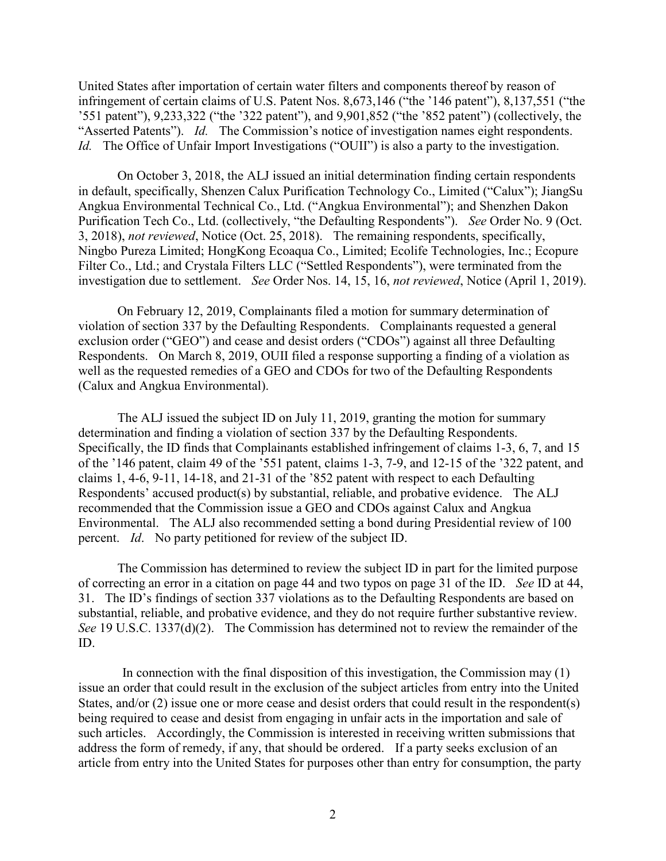United States after importation of certain water filters and components thereof by reason of infringement of certain claims of U.S. Patent Nos. 8,673,146 ("the '146 patent"), 8,137,551 ("the '551 patent"), 9,233,322 ("the '322 patent"), and 9,901,852 ("the '852 patent") (collectively, the "Asserted Patents"). *Id.* The Commission's notice of investigation names eight respondents. *Id.* The Office of Unfair Import Investigations ("OUII") is also a party to the investigation.

On October 3, 2018, the ALJ issued an initial determination finding certain respondents in default, specifically, Shenzen Calux Purification Technology Co., Limited ("Calux"); JiangSu Angkua Environmental Technical Co., Ltd. ("Angkua Environmental"); and Shenzhen Dakon Purification Tech Co., Ltd. (collectively, "the Defaulting Respondents"). *See* Order No. 9 (Oct. 3, 2018), *not reviewed*, Notice (Oct. 25, 2018). The remaining respondents, specifically, Ningbo Pureza Limited; HongKong Ecoaqua Co., Limited; Ecolife Technologies, Inc.; Ecopure Filter Co., Ltd.; and Crystala Filters LLC ("Settled Respondents"), were terminated from the investigation due to settlement. *See* Order Nos. 14, 15, 16, *not reviewed*, Notice (April 1, 2019).

On February 12, 2019, Complainants filed a motion for summary determination of violation of section 337 by the Defaulting Respondents. Complainants requested a general exclusion order ("GEO") and cease and desist orders ("CDOs") against all three Defaulting Respondents. On March 8, 2019, OUII filed a response supporting a finding of a violation as well as the requested remedies of a GEO and CDOs for two of the Defaulting Respondents (Calux and Angkua Environmental).

The ALJ issued the subject ID on July 11, 2019, granting the motion for summary determination and finding a violation of section 337 by the Defaulting Respondents. Specifically, the ID finds that Complainants established infringement of claims 1-3, 6, 7, and 15 of the '146 patent, claim 49 of the '551 patent, claims 1-3, 7-9, and 12-15 of the '322 patent, and claims 1, 4-6, 9-11, 14-18, and 21-31 of the '852 patent with respect to each Defaulting Respondents' accused product(s) by substantial, reliable, and probative evidence. The ALJ recommended that the Commission issue a GEO and CDOs against Calux and Angkua Environmental. The ALJ also recommended setting a bond during Presidential review of 100 percent. *Id*. No party petitioned for review of the subject ID.

The Commission has determined to review the subject ID in part for the limited purpose of correcting an error in a citation on page 44 and two typos on page 31 of the ID. *See* ID at 44, 31. The ID's findings of section 337 violations as to the Defaulting Respondents are based on substantial, reliable, and probative evidence, and they do not require further substantive review. *See* 19 U.S.C. 1337(d)(2). The Commission has determined not to review the remainder of the ID.

In connection with the final disposition of this investigation, the Commission may  $(1)$ issue an order that could result in the exclusion of the subject articles from entry into the United States, and/or (2) issue one or more cease and desist orders that could result in the respondent(s) being required to cease and desist from engaging in unfair acts in the importation and sale of such articles. Accordingly, the Commission is interested in receiving written submissions that address the form of remedy, if any, that should be ordered. If a party seeks exclusion of an article from entry into the United States for purposes other than entry for consumption, the party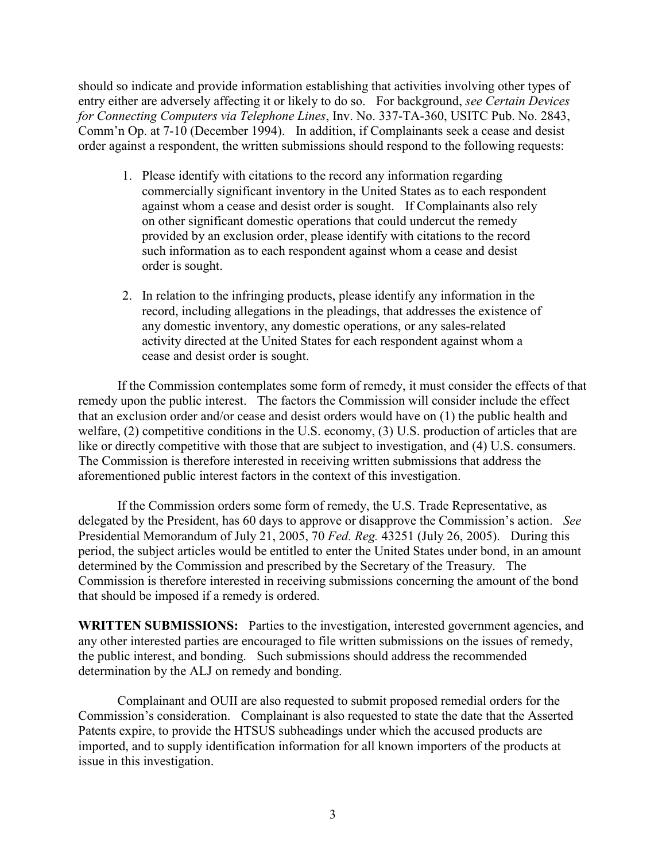should so indicate and provide information establishing that activities involving other types of entry either are adversely affecting it or likely to do so. For background, *see Certain Devices for Connecting Computers via Telephone Lines*, Inv. No. 337-TA-360, USITC Pub. No. 2843, Comm'n Op. at 7-10 (December 1994). In addition, if Complainants seek a cease and desist order against a respondent, the written submissions should respond to the following requests:

- 1. Please identify with citations to the record any information regarding commercially significant inventory in the United States as to each respondent against whom a cease and desist order is sought. If Complainants also rely on other significant domestic operations that could undercut the remedy provided by an exclusion order, please identify with citations to the record such information as to each respondent against whom a cease and desist order is sought.
- 2. In relation to the infringing products, please identify any information in the record, including allegations in the pleadings, that addresses the existence of any domestic inventory, any domestic operations, or any sales-related activity directed at the United States for each respondent against whom a cease and desist order is sought.

If the Commission contemplates some form of remedy, it must consider the effects of that remedy upon the public interest. The factors the Commission will consider include the effect that an exclusion order and/or cease and desist orders would have on (1) the public health and welfare, (2) competitive conditions in the U.S. economy, (3) U.S. production of articles that are like or directly competitive with those that are subject to investigation, and (4) U.S. consumers. The Commission is therefore interested in receiving written submissions that address the aforementioned public interest factors in the context of this investigation.

If the Commission orders some form of remedy, the U.S. Trade Representative, as delegated by the President, has 60 days to approve or disapprove the Commission's action. *See*  Presidential Memorandum of July 21, 2005, 70 *Fed. Reg.* 43251 (July 26, 2005). During this period, the subject articles would be entitled to enter the United States under bond, in an amount determined by the Commission and prescribed by the Secretary of the Treasury. The Commission is therefore interested in receiving submissions concerning the amount of the bond that should be imposed if a remedy is ordered.

WRITTEN SUBMISSIONS: Parties to the investigation, interested government agencies, and any other interested parties are encouraged to file written submissions on the issues of remedy, the public interest, and bonding. Such submissions should address the recommended determination by the ALJ on remedy and bonding.

Complainant and OUII are also requested to submit proposed remedial orders for the Commission's consideration. Complainant is also requested to state the date that the Asserted Patents expire, to provide the HTSUS subheadings under which the accused products are imported, and to supply identification information for all known importers of the products at issue in this investigation.